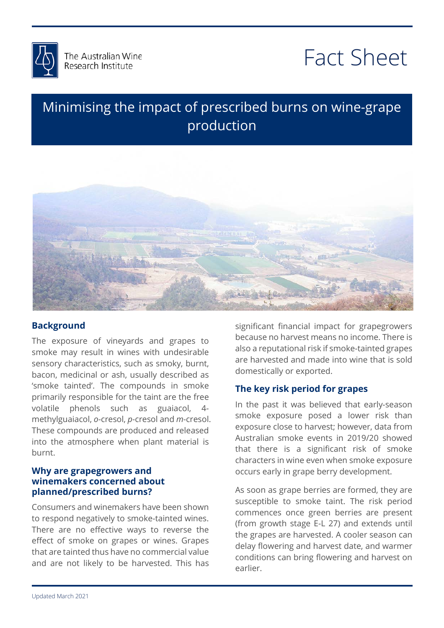

# Fact Sheet

## Minimising the impact of prescribed burns on wine-grape production



### **Background**

The exposure of vineyards and grapes to smoke may result in wines with undesirable sensory characteristics, such as smoky, burnt, bacon, medicinal or ash, usually described as 'smoke tainted'. The compounds in smoke primarily responsible for the taint are the free volatile phenols such as guaiacol, 4 methylguaiacol, *o*-cresol, *p*-cresol and *m*-cresol. These compounds are produced and released into the atmosphere when plant material is burnt.

#### **Why are grapegrowers and winemakers concerned about planned/prescribed burns?**

Consumers and winemakers have been shown to respond negatively to smoke-tainted wines. There are no effective ways to reverse the effect of smoke on grapes or wines. Grapes that are tainted thus have no commercial value and are not likely to be harvested. This has

also a reputational risk if smoke-tainted grapes<br>also a reputational risk if smoke-tainted grapes are harvested and made i<br>domestically or exported. significant financial impact for grapegrowers because no harvest means no income. There is are harvested and made into wine that is sold

#### **The key risk period for grapes**

In the past it was believed that early-season exposure close to harvest; however, data from<br>Australian smoke events in 2019/20 showed د<br>e<br>n smoke exposure posed a lower risk than Australian smoke events in 2019/20 showed that there is a significant risk of smoke characters in wine even when smoke exposure occurs early in grape berry development.

As soon as grape berries are formed, they are susceptible to smoke taint. The risk period commences once green berries are present (from growth stage E-L 27) and extends until the grapes are harvested. A cooler season can delay flowering and harvest date, and warmer conditions can bring flowering and harvest on earlier.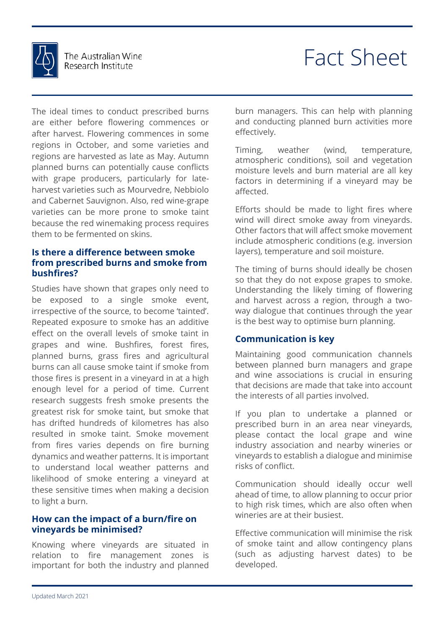

# Fact Sheet

The ideal times to conduct prescribed burns are either before flowering commences or after harvest. Flowering commences in some regions in October, and some varieties and regions are harvested as late as May. Autumn planned burns can potentially cause conflicts with grape producers, particularly for lateharvest varieties such as Mourvedre, Nebbiolo and Cabernet Sauvignon. Also, red wine-grape varieties can be more prone to smoke taint because the red winemaking process requires them to be fermented on skins.

#### **Is there a difference between smoke from prescribed burns and smoke from bushfires?**

Studies have shown that grapes only need to be exposed to a single smoke event, irrespective of the source, to become 'tainted'. Repeated exposure to smoke has an additive effect on the overall levels of smoke taint in grapes and wine. Bushfires, forest fires, planned burns, grass fires and agricultural burns can all cause smoke taint if smoke from those fires is present in a vineyard in at a high enough level for a period of time. Current research suggests fresh smoke presents the greatest risk for smoke taint, but smoke that has drifted hundreds of kilometres has also resulted in smoke taint. Smoke movement from fires varies depends on fire burning dynamics and weather patterns. It is important to understand local weather patterns and likelihood of smoke entering a vineyard at these sensitive times when making a decision to light a burn.

#### **How can the impact of a burn/fire on vineyards be minimised?**

Knowing where vineyards are situated in relation to fire management zones is important for both the industry and planned burn managers. This can help with planning and conducting planned burn activities more effectively.

Timing, weather (wind, temperature, atmospheric conditions), soil and vegetation moisture levels and burn material are all key factors in determining if a vineyard may be affected.

include atmospheric conditions (e.g. in<br>layers), temperature and soil moisture. Efforts should be made to light fires where wind will direct smoke away from vineyards. Other factors that will affect smoke movement include atmospheric conditions (e.g. inversion

The timing of burns should ideally be chosen<br>so that they do not expose grapes to smoke.<br>Understanding the likely timing of flowering. and harvest across a region, through a two-<br>way dialogue that continues through the year<br>is the best way to entimies by replanning The timing of burns should ideally be chosen Understanding the likely timing of flowering and harvest across a region, through a twois the best way to optimise burn planning.

### $\bullet$ **Communication is key**

between planned burn managers and grape<br>and wine associations is crucial in ensuring the interests of all parties involved. Maintaining good communication channels and wine associations is crucial in ensuring that decisions are made that take into account

prescribed burn in an area near vineyards,<br>please contact the local grape and wine vineyards to establish a dialogue and minimise<br>risks of conflict. If you plan to undertake a planned or prescribed burn in an area near vineyards, industry association and nearby wineries or risks of conflict.

Communication should ideally occur well ahead of time, to allow planning to occur prior to high risk times, which are also often when wineries are at their busiest.

Effective communication will minimise the risk of smoke taint and allow contingency plans (such as adjusting harvest dates) to be developed.